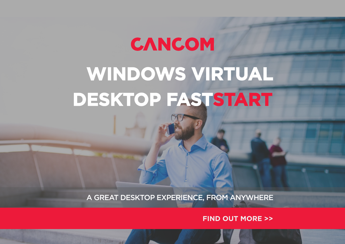# CANCOM **WINDOWS VIRTUAL DESKTOP FASTSTART**

A GREAT DESKTOP EXPERIENCE, FROM ANYWHERE

**FIND OUT MORE >>**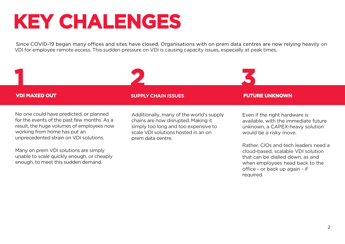### **KEY CHALENGES**

Since COVID-19 began many offices and sites have closed. Organisations with on prem data centres are now relying heavily on VDI for employee remote access. This sudden pressure on VDI is causing capacity issues, especially at peak times.

**VDI MAXED OUT SUPPLY CHAIN ISSUES FUTURE UNKNOWN**

**1 2 3**

No one could have predicted, or planned for the events of the past few months. As a result, the huge volumes of employees now working from home has put an unprecedented strain on VDI solutions.

Many on prem VDI solutions are simply unable to scale quickly enough, or cheaply enough, to meet this sudden demand.

Additionally, many of the world's supply chains are now disrupted. Making it simply too long and too expensive to scale VDI solutions hosted in an on prem data centre.

Even if the right hardware is available, with the immediate future unknown, a CAPEX-heavy solution would be a risky move.

Rather, CIOs and tech leaders need a cloud-based, scalable VDI solution that can be dialled down, as and when employees head back to the office - or back up again - if required.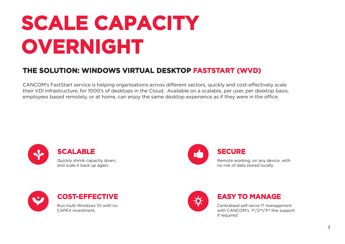### **SCALE CAPACITY OVERNIGHT**

### **THE SOLUTION: WINDOWS VIRTUAL DESKTOP FASTSTART (WVD)**

CANCOM's FastStart service is helping organisations across different sectors, quickly and cost-effectively scale their VDI infrastructure, for 1000's of desktops in the Cloud. Available on a scalable, per user, per desktop basis, employees based remotely, or at home, can enjoy the same desktop experience as if they were in the office.



Quickly shrink capacity down, and scale it back up again.



### **SECURE**

Remote working, on any device, with no risk of data stored locally.





#### **EASY TO MANAGE**

Centralised self-serve IT management with CANCOM's 1<sup>st</sup>/2<sup>nd</sup>/3<sup>rd</sup> line support if required.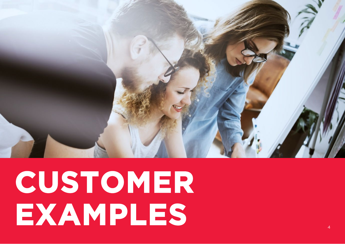

# **CUSTOMER EXAMPLES**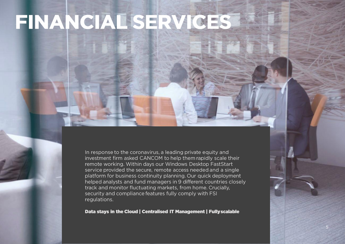## FINANCIAE SERVICES

In response to the coronavirus, a leading private equity and investment firm asked CANCOM to help them rapidly scale their remote working. Within days our Windows Desktop FastStart service provided the secure, remote access needed and a single platform for business continuity planning. Our quick deployment helped analysts and fund managers in 9 different countries closely track and monitor fluctuating markets, from home. Crucially, security and compliance features fully comply with FSI regulations.

Data stays in the Cloud | Centralised IT Management | Fully scalable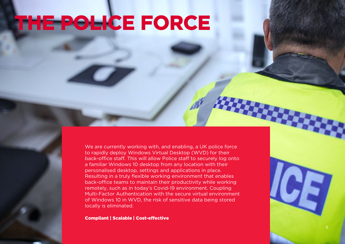## **THE POLICE FORCE**

We are currently working with, and enabling, a UK police force to rapidly deploy Windows Virtual Desktop (WVD) for their back-office staff. This will allow Police staff to securely log onto a familiar Windows 10 desktop from any location with their personalised desktop, settings and applications in place. Resulting in a truly flexible working environment that enables back-office teams to maintain their productivity while working remotely, such as in today's Covid-19 environment. Coupling Multi-Factor Authentication with the secure virtual environment of Windows 10 in WVD, the risk of sensitive data being stored locally is eliminated.

Compliant | Scalable | Cost-effective

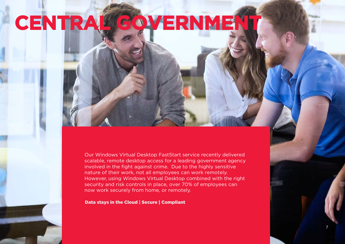### **CENTRAL GOVERNMENT**

Our Windows Virtual Desktop FastStart service recently delivered scalable, remote desktop access for a leading government agency involved in the fight against crime. Due to the highly sensitive nature of their work, not all employees can work remotely. However, using Windows Virtual Desktop combined with the right security and risk controls in place, over 70% of employees can now work securely from home, or remotely.

#### Data stays in the Cloud | Secure | Compliant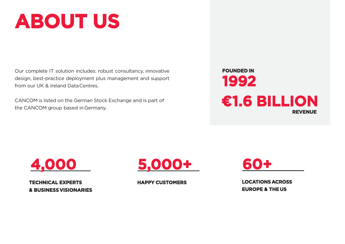### **ABOUT US**

Our complete IT solution includes: robust consultancy, innovative design, best-practice deployment plus management and support from our UK & Ireland DataCentres.

CANCOM is listed on the German Stock Exchange and is part of the CANCOM group based inGermany.





**TECHNICAL EXPERTS & BUSINESSVISIONARIES**



**HAPPY CUSTOMERS**

**60+**

**LOCATIONSACROSS EUROPE & THEUS**